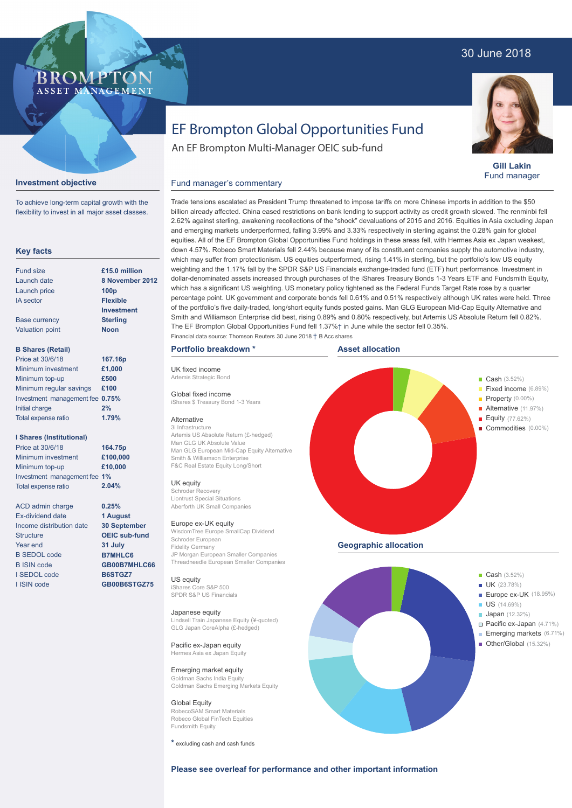### 30 June 2018



**Gill Lakin** Fund manager

# EF Brompton Global Opportunities Fund

An EF Brompton Multi-Manager OEIC sub-fund

### Fund manager's commentary

Alternative 3i Infrastructure

UK equity

Europe ex-UK equity

Schroder European Fidelity Germany

Japanese equity

**Global Equity** RobecoSAM Smart Materials Robeco Global FinTech Equities

Fundsmith Equity

Pacific ex-Japan equity Hermes Asia ex Japan Equity Emerging market equity Goldman Sachs India Equity

US equity iShares Core S&P 500 SPDR S&P US Financials

WisdomTree Europe SmallCap Dividend

JP Morgan European Smaller Companies Threadneedle European Smaller Companies

Lindsell Train Japanese Equity (¥-quoted) GLG Japan CoreAlpha (£-hedged)

Goldman Sachs Emerging Markets Equity

**Key facts** Fund size Launch date Launch price IA sector Base currency Valuation point **B Shares (Retail)** Minimum investment Minimum top-up Minimum regular savings **£100** Investment management fee **0.75%** Initial charge Total expense ratio **I Shares (Institutional)** Minimum investment Minimum top-up Investment management fee **1%** Total expense ratio ACD admin charge Ex-dividend date Income distribution date **Structure** Year end B SEDOL code B ISIN code I SEDOL code I ISIN code **8 November 2012 100p Flexible Investment Sterling Noon £1,000 £500 2% £100,000 £10,000 0.25% 1 August 30 September OEIC sub-fund 31 July B7MHLC6 GB00B7MHLC66 B6STGZ7 GB00B6STGZ75 £15.0 million 167.16p 164.75p** Price at 30/6/18 Price at 30/6/18 **1.79% 2.04%**

**Investment objective**

To achieve long-term capital growth with the flexibility to invest in all major asset classes.

**BROMP** 

ASSET MANAGEMENT

weighting and the 1.17% fall by the SPDR S&P US Financials exchange-traded fund (ETF) hurt performance. Investment in dollar-denominated assets increased through purchases of the iShares Treasury Bonds 1-3 Years ETF and Fundsmith Equity, which has a significant US weighting. US monetary policy tightened as the Federal Funds Target Rate rose by a quarter percentage point. UK government and corporate bonds fell 0.61% and 0.51% respectively although UK rates were held. Three of the portfolio's five daily-traded, long/short equity funds posted gains. Man GLG European Mid-Cap Equity Alternative and Smith and Williamson Enterprise did best, rising 0.89% and 0.80% respectively, but Artemis US Absolute Return fell 0.82%. The EF Brompton Global Opportunities Fund fell 1.37%† in June while the sector fell 0.35%. UK fixed income Artemis Strategic Bond Global fixed income iShares \$ Treasury Bond 1-3 Years Artemis US Absolute Return (£-hedged) Man GLG UK Absolute Value Man GLG European Mid-Cap Equity Alternative Smith & Williamson Enterprise F&C Real Estate Equity Long/Short Schroder Recovery Liontrust Special Situations Aberforth UK Small Companies **Example 2018** Cash (3.52%) Fixed income (6.89%) **Property** (0.00%) Alternative (11.97%) Equity (77.62%) Commodities (0.00%) **Asset allocation Portfolio breakdown \*** Financial data source: Thomson Reuters 30 June 2018 † B Acc shares

Trade tensions escalated as President Trump threatened to impose tariffs on more Chinese imports in addition to the \$50 billion already affected. China eased restrictions on bank lending to support activity as credit growth slowed. The renminbi fell 2.62% against sterling, awakening recollections of the "shock" devaluations of 2015 and 2016. Equities in Asia excluding Japan and emerging markets underperformed, falling 3.99% and 3.33% respectively in sterling against the 0.28% gain for global equities. All of the EF Brompton Global Opportunities Fund holdings in these areas fell, with Hermes Asia ex Japan weakest, down 4.57%. Robeco Smart Materials fell 2.44% because many of its constituent companies supply the automotive industry, which may suffer from protectionism. US equities outperformed, rising 1.41% in sterling, but the portfolio's low US equity

**Geographic allocation**



**\*** excluding cash and cash funds